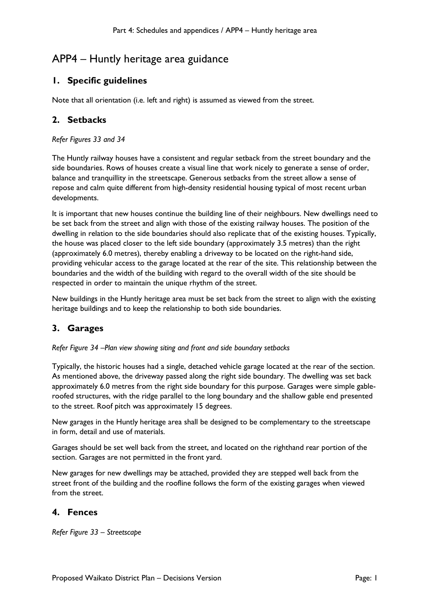# APP4 – Huntly heritage area guidance

## **1. Specific guidelines**

Note that all orientation (i.e. left and right) is assumed as viewed from the street.

## **2. Setbacks**

*Refer Figures 33 and 34*

The Huntly railway houses have a consistent and regular setback from the street boundary and the side boundaries. Rows of houses create a visual line that work nicely to generate a sense of order, balance and tranquillity in the streetscape. Generous setbacks from the street allow a sense of repose and calm quite different from high-density residential housing typical of most recent urban developments.

It is important that new houses continue the building line of their neighbours. New dwellings need to be set back from the street and align with those of the existing railway houses. The position of the dwelling in relation to the side boundaries should also replicate that of the existing houses. Typically, the house was placed closer to the left side boundary (approximately 3.5 metres) than the right (approximately 6.0 metres), thereby enabling a driveway to be located on the right-hand side, providing vehicular access to the garage located at the rear of the site. This relationship between the boundaries and the width of the building with regard to the overall width of the site should be respected in order to maintain the unique rhythm of the street.

New buildings in the Huntly heritage area must be set back from the street to align with the existing heritage buildings and to keep the relationship to both side boundaries.

## **3. Garages**

*Refer Figure 34 –Plan view showing siting and front and side boundary setbacks*

Typically, the historic houses had a single, detached vehicle garage located at the rear of the section. As mentioned above, the driveway passed along the right side boundary. The dwelling was set back approximately 6.0 metres from the right side boundary for this purpose. Garages were simple gableroofed structures, with the ridge parallel to the long boundary and the shallow gable end presented to the street. Roof pitch was approximately 15 degrees.

New garages in the Huntly heritage area shall be designed to be complementary to the streetscape in form, detail and use of materials.

Garages should be set well back from the street, and located on the righthand rear portion of the section. Garages are not permitted in the front yard.

New garages for new dwellings may be attached, provided they are stepped well back from the street front of the building and the roofline follows the form of the existing garages when viewed from the street.

#### **4. Fences**

*Refer Figure 33 – Streetscape*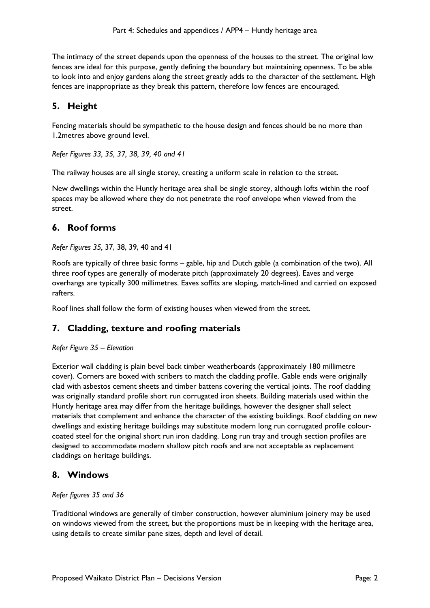The intimacy of the street depends upon the openness of the houses to the street. The original low fences are ideal for this purpose, gently defining the boundary but maintaining openness. To be able to look into and enjoy gardens along the street greatly adds to the character of the settlement. High fences are inappropriate as they break this pattern, therefore low fences are encouraged.

## **5. Height**

Fencing materials should be sympathetic to the house design and fences should be no more than 1.2metres above ground level.

*Refer Figures 33, 35, 37, 38, 39, 40 and 41* 

The railway houses are all single storey, creating a uniform scale in relation to the street.

New dwellings within the Huntly heritage area shall be single storey, although lofts within the roof spaces may be allowed where they do not penetrate the roof envelope when viewed from the street.

## **6. Roof forms**

#### *Refer Figures 35,* 37, 38, 39, 40 and 41

Roofs are typically of three basic forms – gable, hip and Dutch gable (a combination of the two). All three roof types are generally of moderate pitch (approximately 20 degrees). Eaves and verge overhangs are typically 300 millimetres. Eaves soffits are sloping, match-lined and carried on exposed rafters.

Roof lines shall follow the form of existing houses when viewed from the street.

## **7. Cladding, texture and roofing materials**

#### *Refer Figure 35 – Elevation*

Exterior wall cladding is plain bevel back timber weatherboards (approximately 180 millimetre cover). Corners are boxed with scribers to match the cladding profile. Gable ends were originally clad with asbestos cement sheets and timber battens covering the vertical joints. The roof cladding was originally standard profile short run corrugated iron sheets. Building materials used within the Huntly heritage area may differ from the heritage buildings, however the designer shall select materials that complement and enhance the character of the existing buildings. Roof cladding on new dwellings and existing heritage buildings may substitute modern long run corrugated profile colourcoated steel for the original short run iron cladding. Long run tray and trough section profiles are designed to accommodate modern shallow pitch roofs and are not acceptable as replacement claddings on heritage buildings.

## **8. Windows**

#### *Refer figures 35 and 36*

Traditional windows are generally of timber construction, however aluminium joinery may be used on windows viewed from the street, but the proportions must be in keeping with the heritage area, using details to create similar pane sizes, depth and level of detail.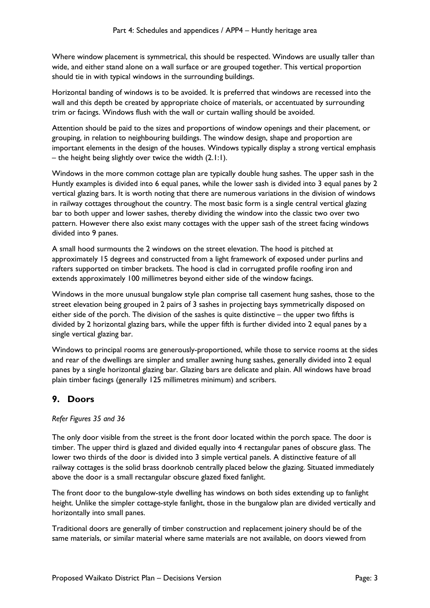Where window placement is symmetrical, this should be respected. Windows are usually taller than wide, and either stand alone on a wall surface or are grouped together. This vertical proportion should tie in with typical windows in the surrounding buildings.

Horizontal banding of windows is to be avoided. It is preferred that windows are recessed into the wall and this depth be created by appropriate choice of materials, or accentuated by surrounding trim or facings. Windows flush with the wall or curtain walling should be avoided.

Attention should be paid to the sizes and proportions of window openings and their placement, or grouping, in relation to neighbouring buildings. The window design, shape and proportion are important elements in the design of the houses. Windows typically display a strong vertical emphasis – the height being slightly over twice the width (2.1:1).

Windows in the more common cottage plan are typically double hung sashes. The upper sash in the Huntly examples is divided into 6 equal panes, while the lower sash is divided into 3 equal panes by 2 vertical glazing bars. It is worth noting that there are numerous variations in the division of windows in railway cottages throughout the country. The most basic form is a single central vertical glazing bar to both upper and lower sashes, thereby dividing the window into the classic two over two pattern. However there also exist many cottages with the upper sash of the street facing windows divided into 9 panes.

A small hood surmounts the 2 windows on the street elevation. The hood is pitched at approximately 15 degrees and constructed from a light framework of exposed under purlins and rafters supported on timber brackets. The hood is clad in corrugated profile roofing iron and extends approximately 100 millimetres beyond either side of the window facings.

Windows in the more unusual bungalow style plan comprise tall casement hung sashes, those to the street elevation being grouped in 2 pairs of 3 sashes in projecting bays symmetrically disposed on either side of the porch. The division of the sashes is quite distinctive – the upper two fifths is divided by 2 horizontal glazing bars, while the upper fifth is further divided into 2 equal panes by a single vertical glazing bar.

Windows to principal rooms are generously-proportioned, while those to service rooms at the sides and rear of the dwellings are simpler and smaller awning hung sashes, generally divided into 2 equal panes by a single horizontal glazing bar. Glazing bars are delicate and plain. All windows have broad plain timber facings (generally 125 millimetres minimum) and scribers.

## **9. Doors**

*Refer Figures 35 and 36* 

The only door visible from the street is the front door located within the porch space. The door is timber. The upper third is glazed and divided equally into 4 rectangular panes of obscure glass. The lower two thirds of the door is divided into 3 simple vertical panels. A distinctive feature of all railway cottages is the solid brass doorknob centrally placed below the glazing. Situated immediately above the door is a small rectangular obscure glazed fixed fanlight.

The front door to the bungalow-style dwelling has windows on both sides extending up to fanlight height. Unlike the simpler cottage-style fanlight, those in the bungalow plan are divided vertically and horizontally into small panes.

Traditional doors are generally of timber construction and replacement joinery should be of the same materials, or similar material where same materials are not available, on doors viewed from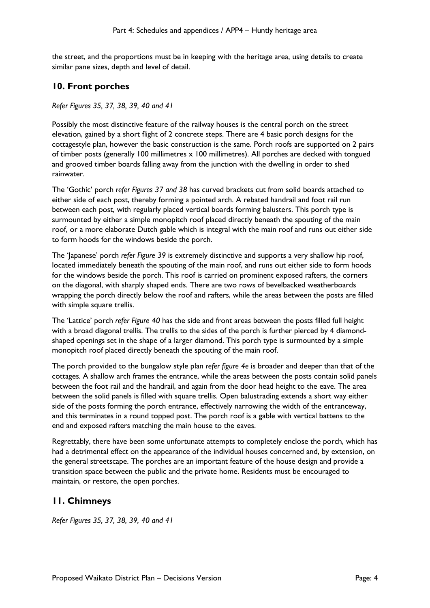the street, and the proportions must be in keeping with the heritage area, using details to create similar pane sizes, depth and level of detail.

#### **10. Front porches**

#### *Refer Figures 35, 37, 38, 39, 40 and 41*

Possibly the most distinctive feature of the railway houses is the central porch on the street elevation, gained by a short flight of 2 concrete steps. There are 4 basic porch designs for the cottagestyle plan, however the basic construction is the same. Porch roofs are supported on 2 pairs of timber posts (generally 100 millimetres x 100 millimetres). All porches are decked with tongued and grooved timber boards falling away from the junction with the dwelling in order to shed rainwater.

The 'Gothic' porch *refer Figures 37 and 38* has curved brackets cut from solid boards attached to either side of each post, thereby forming a pointed arch. A rebated handrail and foot rail run between each post, with regularly placed vertical boards forming balusters. This porch type is surmounted by either a simple monopitch roof placed directly beneath the spouting of the main roof, or a more elaborate Dutch gable which is integral with the main roof and runs out either side to form hoods for the windows beside the porch.

The 'Japanese' porch *refer Figure 39* is extremely distinctive and supports a very shallow hip roof, located immediately beneath the spouting of the main roof, and runs out either side to form hoods for the windows beside the porch. This roof is carried on prominent exposed rafters, the corners on the diagonal, with sharply shaped ends. There are two rows of bevelbacked weatherboards wrapping the porch directly below the roof and rafters, while the areas between the posts are filled with simple square trellis.

The 'Lattice' porch *refer Figure 40* has the side and front areas between the posts filled full height with a broad diagonal trellis. The trellis to the sides of the porch is further pierced by 4 diamondshaped openings set in the shape of a larger diamond. This porch type is surmounted by a simple monopitch roof placed directly beneath the spouting of the main roof.

The porch provided to the bungalow style plan *refer figure 4e* is broader and deeper than that of the cottages. A shallow arch frames the entrance, while the areas between the posts contain solid panels between the foot rail and the handrail, and again from the door head height to the eave. The area between the solid panels is filled with square trellis. Open balustrading extends a short way either side of the posts forming the porch entrance, effectively narrowing the width of the entranceway, and this terminates in a round topped post. The porch roof is a gable with vertical battens to the end and exposed rafters matching the main house to the eaves.

Regrettably, there have been some unfortunate attempts to completely enclose the porch, which has had a detrimental effect on the appearance of the individual houses concerned and, by extension, on the general streetscape. The porches are an important feature of the house design and provide a transition space between the public and the private home. Residents must be encouraged to maintain, or restore, the open porches.

## **11. Chimneys**

*Refer Figures 35, 37, 38, 39, 40 and 41*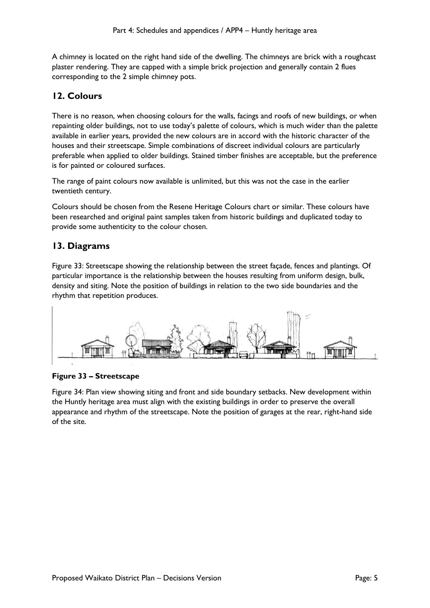A chimney is located on the right hand side of the dwelling. The chimneys are brick with a roughcast plaster rendering. They are capped with a simple brick projection and generally contain 2 flues corresponding to the 2 simple chimney pots.

## **12. Colours**

There is no reason, when choosing colours for the walls, facings and roofs of new buildings, or when repainting older buildings, not to use today's palette of colours, which is much wider than the palette available in earlier years, provided the new colours are in accord with the historic character of the houses and their streetscape. Simple combinations of discreet individual colours are particularly preferable when applied to older buildings. Stained timber finishes are acceptable, but the preference is for painted or coloured surfaces.

The range of paint colours now available is unlimited, but this was not the case in the earlier twentieth century.

Colours should be chosen from the Resene Heritage Colours chart or similar. These colours have been researched and original paint samples taken from historic buildings and duplicated today to provide some authenticity to the colour chosen.

## **13. Diagrams**

Figure 33: Streetscape showing the relationship between the street façade, fences and plantings. Of particular importance is the relationship between the houses resulting from uniform design, bulk, density and siting. Note the position of buildings in relation to the two side boundaries and the rhythm that repetition produces.



#### **Figure 33 – Streetscape**

Figure 34: Plan view showing siting and front and side boundary setbacks. New development within the Huntly heritage area must align with the existing buildings in order to preserve the overall appearance and rhythm of the streetscape. Note the position of garages at the rear, right-hand side of the site.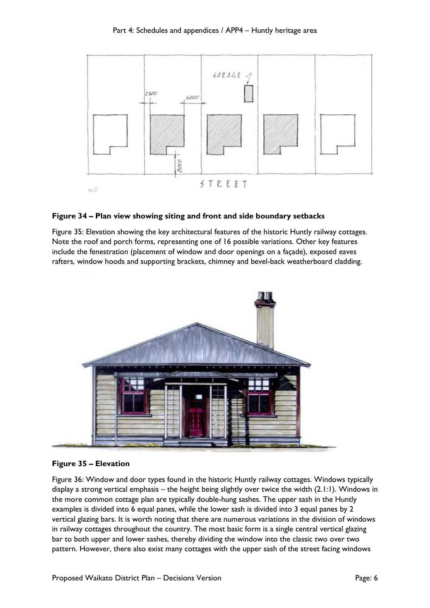

#### **Figure 34 – Plan view showing siting and front and side boundary setbacks**

Figure 35: Elevation showing the key architectural features of the historic Huntly railway cottages. Note the roof and porch forms, representing one of 16 possible variations. Other key features include the fenestration (placement of window and door openings on a façade), exposed eaves rafters, window hoods and supporting brackets, chimney and bevel-back weatherboard cladding.



#### **Figure 35 – Elevation**

Figure 36: Window and door types found in the historic Huntly railway cottages. Windows typically display a strong vertical emphasis – the height being slightly over twice the width (2.1:1). Windows in the more common cottage plan are typically double-hung sashes. The upper sash in the Huntly examples is divided into 6 equal panes, while the lower sash is divided into 3 equal panes by 2 vertical glazing bars. It is worth noting that there are numerous variations in the division of windows in railway cottages throughout the country. The most basic form is a single central vertical glazing bar to both upper and lower sashes, thereby dividing the window into the classic two over two pattern. However, there also exist many cottages with the upper sash of the street facing windows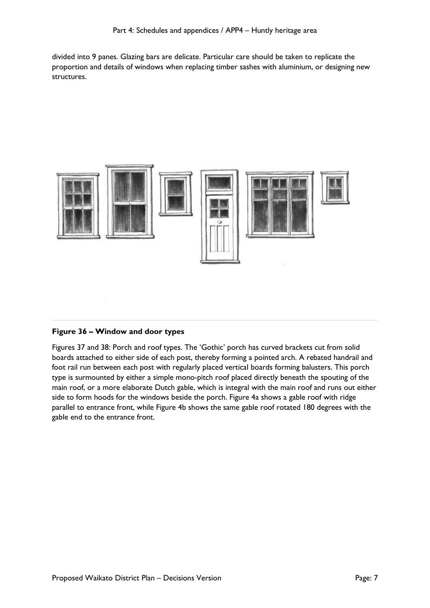divided into 9 panes. Glazing bars are delicate. Particular care should be taken to replicate the proportion and details of windows when replacing timber sashes with aluminium, or designing new structures.



#### **Figure 36 – Window and door types**

Figures 37 and 38: Porch and roof types. The 'Gothic' porch has curved brackets cut from solid boards attached to either side of each post, thereby forming a pointed arch. A rebated handrail and foot rail run between each post with regularly placed vertical boards forming balusters. This porch type is surmounted by either a simple mono-pitch roof placed directly beneath the spouting of the main roof, or a more elaborate Dutch gable, which is integral with the main roof and runs out either side to form hoods for the windows beside the porch. Figure 4a shows a gable roof with ridge parallel to entrance front, while Figure 4b shows the same gable roof rotated 180 degrees with the gable end to the entrance front.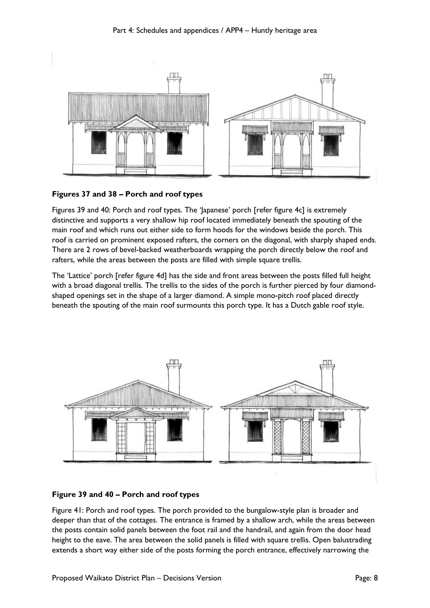

#### **Figures 37 and 38 – Porch and roof types**

Figures 39 and 40: Porch and roof types. The 'Japanese' porch [refer figure 4c] is extremely distinctive and supports a very shallow hip roof located immediately beneath the spouting of the main roof and which runs out either side to form hoods for the windows beside the porch. This roof is carried on prominent exposed rafters, the corners on the diagonal, with sharply shaped ends. There are 2 rows of bevel-backed weatherboards wrapping the porch directly below the roof and rafters, while the areas between the posts are filled with simple square trellis.

The 'Lattice' porch [refer figure 4d] has the side and front areas between the posts filled full height with a broad diagonal trellis. The trellis to the sides of the porch is further pierced by four diamondshaped openings set in the shape of a larger diamond. A simple mono-pitch roof placed directly beneath the spouting of the main roof surmounts this porch type. It has a Dutch gable roof style.



#### **Figure 39 and 40 – Porch and roof types**

Figure 41: Porch and roof types. The porch provided to the bungalow-style plan is broader and deeper than that of the cottages. The entrance is framed by a shallow arch, while the areas between the posts contain solid panels between the foot rail and the handrail, and again from the door head height to the eave. The area between the solid panels is filled with square trellis. Open balustrading extends a short way either side of the posts forming the porch entrance, effectively narrowing the